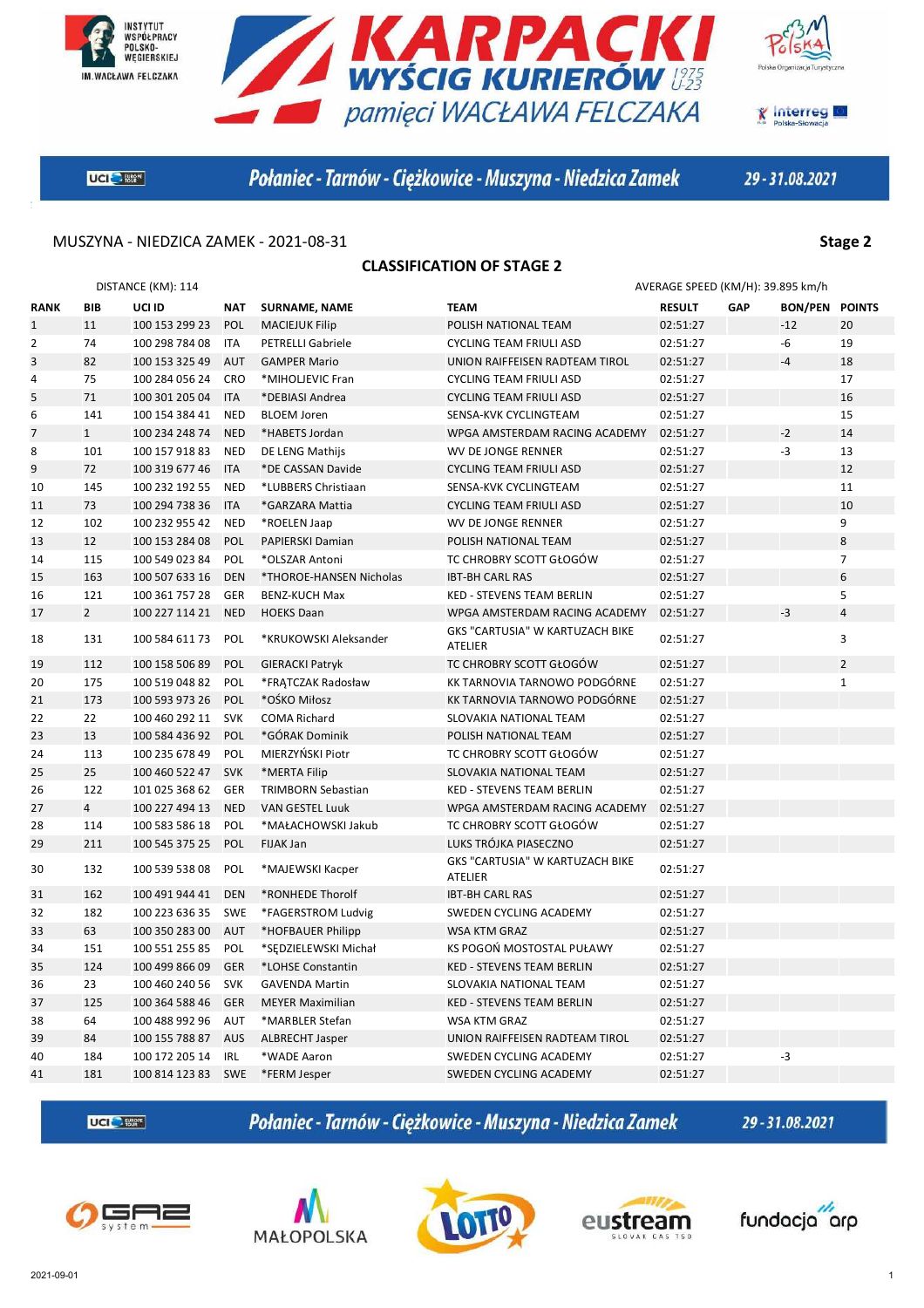





**K** Interreg

**UGIC** Start

Połaniec - Tarnów - Ciężkowice - Muszyna - Niedzica Zamek

29-31.08.2021

### MUSZYNA - NIEDZICA ZAMEK - 2021-08-31 **Stage 2**

### **CLASSIFICATION OF STAGE 2**

| DISTANCE (KM): 114 |                |                |            |                           |                                            | AVERAGE SPEED (KM/H): 39.895 km/h |     |                       |                |
|--------------------|----------------|----------------|------------|---------------------------|--------------------------------------------|-----------------------------------|-----|-----------------------|----------------|
| <b>RANK</b>        | <b>BIB</b>     | UCI ID         | NAT        | <b>SURNAME, NAME</b>      | <b>TEAM</b>                                | <b>RESULT</b>                     | GAP | <b>BON/PEN POINTS</b> |                |
| $\mathbf{1}$       | 11             | 100 153 299 23 | POL        | <b>MACIEJUK Filip</b>     | POLISH NATIONAL TEAM                       | 02:51:27                          |     | $-12$                 | 20             |
| $\overline{2}$     | 74             | 100 298 784 08 | ITA        | <b>PETRELLI Gabriele</b>  | <b>CYCLING TEAM FRIULI ASD</b>             | 02:51:27                          |     | -6                    | 19             |
| 3                  | 82             | 100 153 325 49 | <b>AUT</b> | <b>GAMPER Mario</b>       | UNION RAIFFEISEN RADTEAM TIROL             | 02:51:27                          |     | $-4$                  | 18             |
| 4                  | 75             | 100 284 056 24 | <b>CRO</b> | *MIHOLJEVIC Fran          | <b>CYCLING TEAM FRIULI ASD</b>             | 02:51:27                          |     |                       | 17             |
| 5                  | 71             | 100 301 205 04 | <b>ITA</b> | *DEBIASI Andrea           | <b>CYCLING TEAM FRIULI ASD</b>             | 02:51:27                          |     |                       | 16             |
| 6                  | 141            | 100 154 384 41 | <b>NED</b> | <b>BLOEM Joren</b>        | SENSA-KVK CYCLINGTEAM                      | 02:51:27                          |     |                       | 15             |
| 7                  | $\mathbf{1}$   | 100 234 248 74 | <b>NED</b> | *HABETS Jordan            | WPGA AMSTERDAM RACING ACADEMY              | 02:51:27                          |     | $-2$                  | 14             |
| 8                  | 101            | 100 157 918 83 | <b>NED</b> | DE LENG Mathijs           | WV DE JONGE RENNER                         | 02:51:27                          |     | $-3$                  | 13             |
| 9                  | 72             | 100 319 677 46 | <b>ITA</b> | *DE CASSAN Davide         | <b>CYCLING TEAM FRIULI ASD</b>             | 02:51:27                          |     |                       | 12             |
| 10                 | 145            | 100 232 192 55 | <b>NED</b> | *LUBBERS Christiaan       | SENSA-KVK CYCLINGTEAM                      | 02:51:27                          |     |                       | 11             |
| 11                 | 73             | 100 294 738 36 | <b>ITA</b> | *GARZARA Mattia           | <b>CYCLING TEAM FRIULI ASD</b>             | 02:51:27                          |     |                       | 10             |
| 12                 | 102            | 100 232 955 42 | <b>NED</b> | *ROELEN Jaap              | WV DE JONGE RENNER                         | 02:51:27                          |     |                       | 9              |
| 13                 | 12             | 100 153 284 08 | POL        | PAPIERSKI Damian          | POLISH NATIONAL TEAM                       | 02:51:27                          |     |                       | 8              |
| 14                 | 115            | 100 549 023 84 | POL        | *OLSZAR Antoni            | TC CHROBRY SCOTT GŁOGÓW                    | 02:51:27                          |     |                       | $\overline{7}$ |
| 15                 | 163            | 100 507 633 16 | <b>DEN</b> | *THOROE-HANSEN Nicholas   | <b>IBT-BH CARL RAS</b>                     | 02:51:27                          |     |                       | 6              |
| 16                 | 121            | 100 361 757 28 | GER        | <b>BENZ-KUCH Max</b>      | KED - STEVENS TEAM BERLIN                  | 02:51:27                          |     |                       | 5              |
| 17                 | $\overline{2}$ | 100 227 114 21 | <b>NED</b> | <b>HOEKS Daan</b>         | WPGA AMSTERDAM RACING ACADEMY              | 02:51:27                          |     | $-3$                  | $\overline{4}$ |
| 18                 | 131            | 100 584 611 73 | <b>POL</b> | *KRUKOWSKI Aleksander     | GKS "CARTUSIA" W KARTUZACH BIKE<br>ATELIER | 02:51:27                          |     |                       | 3              |
| 19                 | 112            | 100 158 506 89 | POL        | <b>GIERACKI Patryk</b>    | TC CHROBRY SCOTT GŁOGÓW                    | 02:51:27                          |     |                       | $\overline{2}$ |
| 20                 | 175            | 100 519 048 82 | POL        | *FRATCZAK Radosław        | KK TARNOVIA TARNOWO PODGÓRNE               | 02:51:27                          |     |                       | $\mathbf{1}$   |
| 21                 | 173            | 100 593 973 26 | POL        | *OŚKO Miłosz              | KK TARNOVIA TARNOWO PODGÓRNE               | 02:51:27                          |     |                       |                |
| 22                 | 22             | 100 460 292 11 | <b>SVK</b> | <b>COMA Richard</b>       | SLOVAKIA NATIONAL TEAM                     | 02:51:27                          |     |                       |                |
| 23                 | 13             | 100 584 436 92 | <b>POL</b> | *GÓRAK Dominik            | POLISH NATIONAL TEAM                       | 02:51:27                          |     |                       |                |
| 24                 | 113            | 100 235 678 49 | POL        | MIERZYŃSKI Piotr          | TC CHROBRY SCOTT GŁOGÓW                    | 02:51:27                          |     |                       |                |
| 25                 | 25             | 100 460 522 47 | <b>SVK</b> | *MERTA Filip              | SLOVAKIA NATIONAL TEAM                     | 02:51:27                          |     |                       |                |
| 26                 | 122            | 101 025 368 62 | <b>GER</b> | <b>TRIMBORN Sebastian</b> | <b>KED - STEVENS TEAM BERLIN</b>           | 02:51:27                          |     |                       |                |
| 27                 | $\overline{4}$ | 100 227 494 13 | <b>NED</b> | <b>VAN GESTEL Luuk</b>    | WPGA AMSTERDAM RACING ACADEMY              | 02:51:27                          |     |                       |                |
| 28                 | 114            | 100 583 586 18 | POL        | *MAŁACHOWSKI Jakub        | TC CHROBRY SCOTT GŁOGÓW                    | 02:51:27                          |     |                       |                |
| 29                 | 211            | 100 545 375 25 | <b>POL</b> | FIJAK Jan                 | LUKS TRÓJKA PIASECZNO                      | 02:51:27                          |     |                       |                |
| 30                 | 132            | 100 539 538 08 | POL        | *MAJEWSKI Kacper          | GKS "CARTUSIA" W KARTUZACH BIKE<br>ATELIER | 02:51:27                          |     |                       |                |
| 31                 | 162            | 100 491 944 41 | <b>DEN</b> | *RONHEDE Thorolf          | <b>IBT-BH CARL RAS</b>                     | 02:51:27                          |     |                       |                |
| 32                 | 182            | 100 223 636 35 | <b>SWE</b> | *FAGERSTROM Ludvig        | SWEDEN CYCLING ACADEMY                     | 02:51:27                          |     |                       |                |
| 33                 | 63             | 100 350 283 00 | <b>AUT</b> | *HOFBAUER Philipp         | <b>WSA KTM GRAZ</b>                        | 02:51:27                          |     |                       |                |
| 34                 | 151            | 100 551 255 85 | POL        | *SEDZIELEWSKI Michał      | KS POGOŃ MOSTOSTAL PUŁAWY                  | 02:51:27                          |     |                       |                |
| 35                 | 124            | 100 499 866 09 | <b>GER</b> | *LOHSE Constantin         | KED - STEVENS TEAM BERLIN                  | 02:51:27                          |     |                       |                |
| 36                 | 23             | 100 460 240 56 | <b>SVK</b> | <b>GAVENDA Martin</b>     | SLOVAKIA NATIONAL TEAM                     | 02:51:27                          |     |                       |                |
| 37                 | 125            | 100 364 588 46 | <b>GER</b> | <b>MEYER Maximilian</b>   | <b>KED - STEVENS TEAM BERLIN</b>           | 02:51:27                          |     |                       |                |
| 38                 | 64             | 100 488 992 96 | AUT        | *MARBLER Stefan           | WSA KTM GRAZ                               | 02:51:27                          |     |                       |                |
| 39                 | 84             | 100 155 788 87 | <b>AUS</b> | <b>ALBRECHT Jasper</b>    | UNION RAIFFEISEN RADTEAM TIROL             | 02:51:27                          |     |                       |                |
| 40                 | 184            | 100 172 205 14 | IRL        | *WADE Aaron               | SWEDEN CYCLING ACADEMY                     | 02:51:27                          |     | $-3$                  |                |
| 41                 | 181            | 100 814 123 83 | <b>SWE</b> | *FERM Jesper              | SWEDEN CYCLING ACADEMY                     | 02:51:27                          |     |                       |                |

UCI<sup>C</sup>-RM<sup>\*</sup>

Połaniec - Tarnów - Ciężkowice - Muszyna - Niedzica Zamek









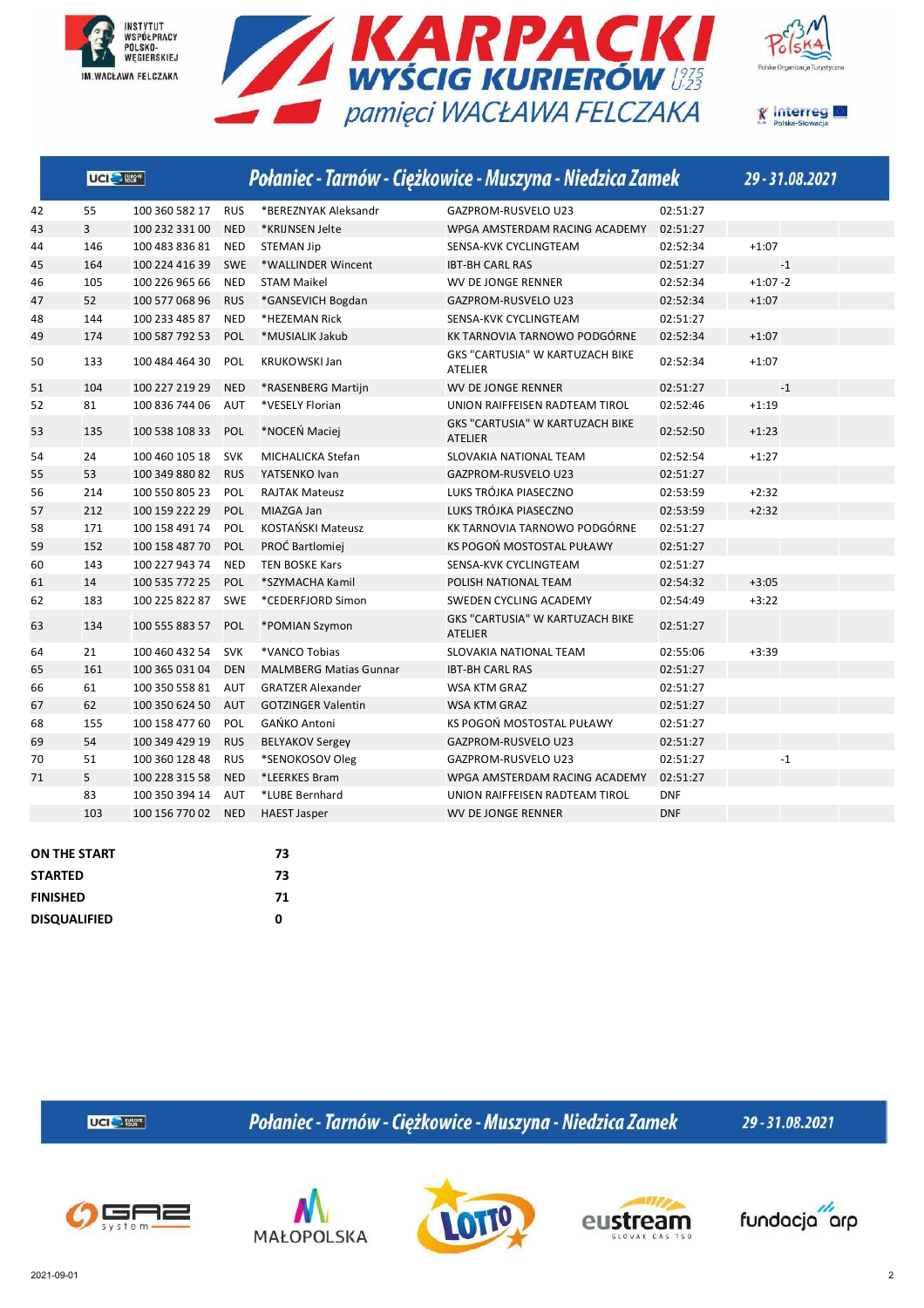







|    | UCI <sup>O</sup> Ester |                |            |                               | Połaniec - Tarnów - Ciężkowice - Muszyna - Niedzica Zamek |            | 29-31.08.2021           |
|----|------------------------|----------------|------------|-------------------------------|-----------------------------------------------------------|------------|-------------------------|
| 42 | 55                     | 100 360 582 17 | <b>RUS</b> | *BEREZNYAK Aleksandr          | <b>GAZPROM-RUSVELO U23</b>                                | 02:51:27   |                         |
| 43 | $\overline{3}$         | 100 232 331 00 | <b>NED</b> | *KRIJNSEN Jelte               | WPGA AMSTERDAM RACING ACADEMY                             | 02:51:27   |                         |
| 44 | 146                    | 100 483 836 81 | <b>NED</b> | <b>STEMAN Jip</b>             | SENSA-KVK CYCLINGTEAM                                     | 02:52:34   | $+1:07$                 |
| 45 | 164                    | 100 224 416 39 | <b>SWE</b> | *WALLINDER Wincent            | <b>IBT-BH CARL RAS</b>                                    | 02:51:27   | $-1$                    |
| 46 | 105                    | 100 226 965 66 | <b>NED</b> | <b>STAM Maikel</b>            | WV DE JONGE RENNER                                        | 02:52:34   | $+1:07 - 2$             |
| 47 | 52                     | 100 577 068 96 | <b>RUS</b> | *GANSEVICH Bogdan             | <b>GAZPROM-RUSVELO U23</b>                                | 02:52:34   | $+1:07$                 |
| 48 | 144                    | 100 233 485 87 | <b>NED</b> | *HEZEMAN Rick                 | SENSA-KVK CYCLINGTEAM                                     | 02:51:27   |                         |
| 49 | 174                    | 100 587 792 53 | POL        | *MUSIALIK Jakub               | KK TARNOVIA TARNOWO PODGÓRNE                              | 02:52:34   | $+1:07$                 |
| 50 | 133                    | 100 484 464 30 | <b>POL</b> | KRUKOWSKI Jan                 | GKS "CARTUSIA" W KARTUZACH BIKE<br><b>ATELIER</b>         | 02:52:34   | $+1:07$                 |
| 51 | 104                    | 100 227 219 29 | <b>NED</b> | *RASENBERG Martijn            | <b>WV DE JONGE RENNER</b>                                 | 02:51:27   | $-1$                    |
| 52 | 81                     | 100 836 744 06 | <b>AUT</b> | *VESELY Florian               | UNION RAIFFEISEN RADTEAM TIROL                            | 02:52:46   | $+1:19$                 |
| 53 | 135                    | 100 538 108 33 | <b>POL</b> | *NOCEŃ Maciej                 | GKS "CARTUSIA" W KARTUZACH BIKE<br><b>ATELIER</b>         | 02:52:50   | $+1:23$                 |
| 54 | 24                     | 100 460 105 18 | <b>SVK</b> | MICHALICKA Stefan             | SLOVAKIA NATIONAL TEAM                                    | 02:52:54   | $+1:27$                 |
| 55 | 53                     | 100 349 880 82 | <b>RUS</b> | YATSENKO Ivan                 | <b>GAZPROM-RUSVELO U23</b>                                | 02:51:27   |                         |
| 56 | 214                    | 100 550 805 23 | <b>POL</b> | <b>RAJTAK Mateusz</b>         | LUKS TRÓJKA PIASECZNO                                     | 02:53:59   | $+2:32$                 |
| 57 | 212                    | 100 159 222 29 | <b>POL</b> | MIAZGA Jan                    | LUKS TRÓJKA PIASECZNO                                     | 02:53:59   | $+2:32$                 |
| 58 | 171                    | 100 158 491 74 | <b>POL</b> | KOSTAŃSKI Mateusz             | KK TARNOVIA TARNOWO PODGÓRNE                              | 02:51:27   |                         |
| 59 | 152                    | 100 158 487 70 | <b>POL</b> | PROĆ Bartlomiej               | KS POGOŃ MOSTOSTAL PUŁAWY                                 | 02:51:27   |                         |
| 60 | 143                    | 100 227 943 74 | <b>NED</b> | <b>TEN BOSKE Kars</b>         | SENSA-KVK CYCLINGTEAM                                     | 02:51:27   |                         |
| 61 | 14                     | 100 535 772 25 | <b>POL</b> | *SZYMACHA Kamil               | POLISH NATIONAL TEAM                                      | 02:54:32   | $+3:05$                 |
| 62 | 183                    | 100 225 822 87 | <b>SWE</b> | *CEDERFJORD Simon             | SWEDEN CYCLING ACADEMY                                    | 02:54:49   | $+3:22$                 |
| 63 | 134                    | 100 555 883 57 | <b>POL</b> | *POMIAN Szymon                | GKS "CARTUSIA" W KARTUZACH BIKE<br><b>ATELIER</b>         | 02:51:27   |                         |
| 64 | 21                     | 100 460 432 54 | <b>SVK</b> | *VANCO Tobias                 | SLOVAKIA NATIONAL TEAM                                    | 02:55:06   | $+3:39$                 |
| 65 | 161                    | 100 365 031 04 | <b>DEN</b> | <b>MALMBERG Matias Gunnar</b> | <b>IBT-BH CARL RAS</b>                                    | 02:51:27   |                         |
| 66 | 61                     | 100 350 558 81 | <b>AUT</b> | <b>GRATZER Alexander</b>      | <b>WSA KTM GRAZ</b>                                       | 02:51:27   |                         |
| 67 | 62                     | 100 350 624 50 | <b>AUT</b> | <b>GOTZINGER Valentin</b>     | <b>WSA KTM GRAZ</b>                                       | 02:51:27   |                         |
| 68 | 155                    | 100 158 477 60 | POL        | <b>GAŃKO Antoni</b>           | KS POGOŃ MOSTOSTAL PUŁAWY                                 | 02:51:27   |                         |
| 69 | 54                     | 100 349 429 19 | <b>RUS</b> | <b>BELYAKOV Sergey</b>        | GAZPROM-RUSVELO U23                                       | 02:51:27   |                         |
| 70 | 51                     | 100 360 128 48 | <b>RUS</b> | *SENOKOSOV Oleg               | <b>GAZPROM-RUSVELO U23</b>                                | 02:51:27   | $^{\mbox{{\small -1}}}$ |
| 71 | 5                      | 100 228 315 58 | <b>NED</b> | *LEERKES Bram                 | WPGA AMSTERDAM RACING ACADEMY                             | 02:51:27   |                         |
|    | 83                     | 100 350 394 14 | <b>AUT</b> | *LUBE Bernhard                | UNION RAIFFEISEN RADTEAM TIROL                            | <b>DNF</b> |                         |
|    | 103                    | 100 156 770 02 | <b>NED</b> | <b>HAEST Jasper</b>           | WV DE JONGE RENNER                                        | <b>DNF</b> |                         |

| <b>ON THE START</b> | 73 |
|---------------------|----|
| <b>STARTED</b>      | 73 |
| <b>FINISHED</b>     | 71 |
| <b>DISQUALIFIED</b> | 0  |
|                     |    |

**UCI<sup>C</sup>** Eller

Połaniec - Tarnów - Ciężkowice - Muszyna - Niedzica Zamek







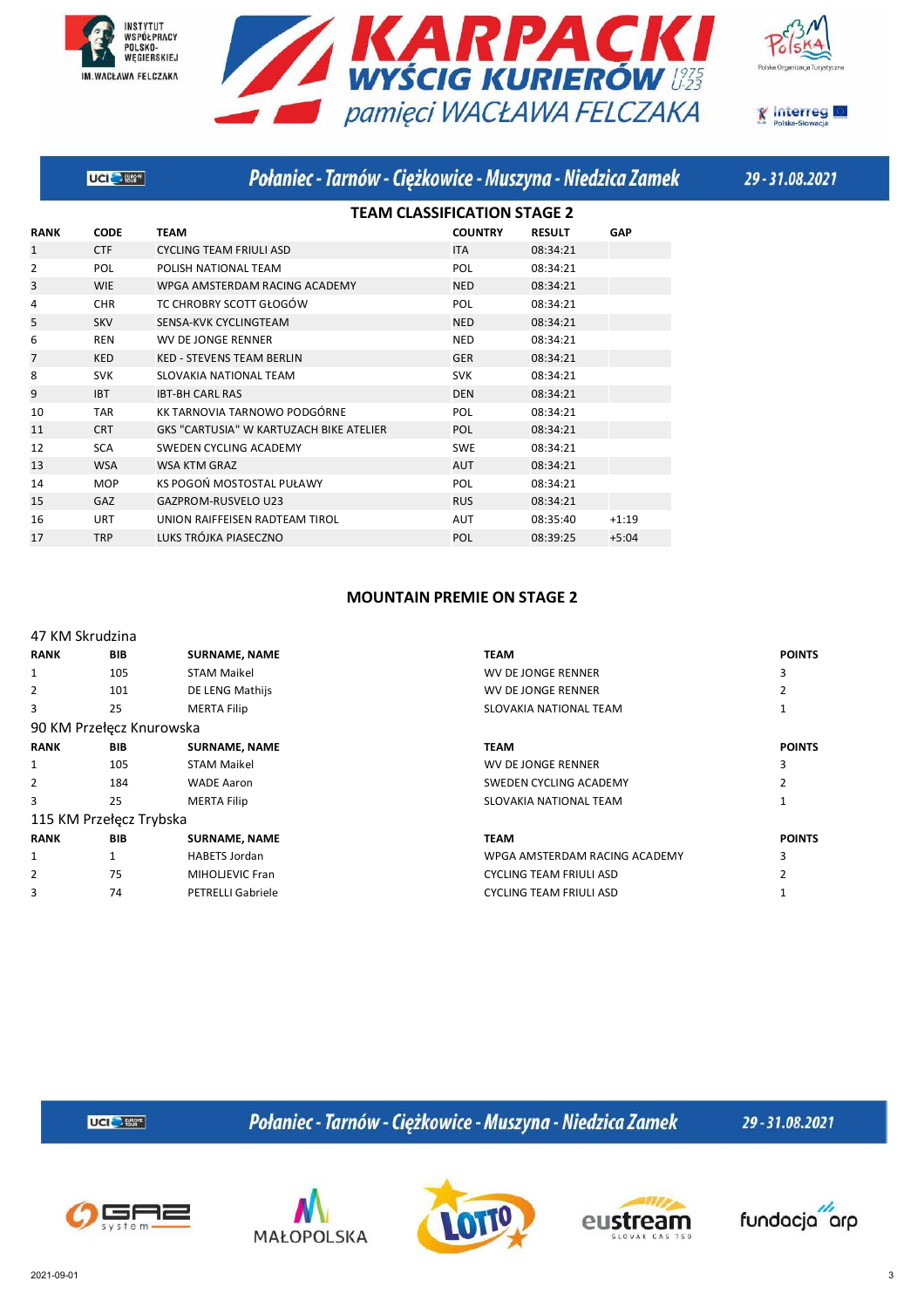







|              | <b>UCI</b> Forest | Połaniec - Tarnów - Ciężkowice - Muszyna - Niedzica Zamek |                                    |               |         |
|--------------|-------------------|-----------------------------------------------------------|------------------------------------|---------------|---------|
|              |                   |                                                           | <b>TEAM CLASSIFICATION STAGE 2</b> |               |         |
| <b>RANK</b>  | <b>CODE</b>       | <b>TEAM</b>                                               | <b>COUNTRY</b>                     | <b>RESULT</b> | GAP     |
| $\mathbf{1}$ | <b>CTF</b>        | <b>CYCLING TEAM FRIULI ASD</b>                            | <b>ITA</b>                         | 08:34:21      |         |
| 2            | <b>POL</b>        | POLISH NATIONAL TEAM                                      | <b>POL</b>                         | 08:34:21      |         |
| 3            | <b>WIE</b>        | WPGA AMSTERDAM RACING ACADEMY                             | <b>NED</b>                         | 08:34:21      |         |
| 4            | <b>CHR</b>        | TC CHROBRY SCOTT GŁOGÓW                                   | <b>POL</b>                         | 08:34:21      |         |
| 5            | <b>SKV</b>        | SENSA-KVK CYCLINGTEAM                                     | <b>NED</b>                         | 08:34:21      |         |
| 6            | <b>REN</b>        | <b>WV DE JONGE RENNER</b>                                 | <b>NED</b>                         | 08:34:21      |         |
| 7            | <b>KED</b>        | <b>KED - STEVENS TEAM BERLIN</b>                          | <b>GER</b>                         | 08:34:21      |         |
| 8            | <b>SVK</b>        | SLOVAKIA NATIONAL TEAM                                    | <b>SVK</b>                         | 08:34:21      |         |
| 9            | <b>IBT</b>        | <b>IBT-BH CARL RAS</b>                                    | <b>DEN</b>                         | 08:34:21      |         |
| 10           | <b>TAR</b>        | KK TARNOVIA TARNOWO PODGÓRNE                              | <b>POL</b>                         | 08:34:21      |         |
| 11           | <b>CRT</b>        | GKS "CARTUSIA" W KARTUZACH BIKE ATELIER                   | <b>POL</b>                         | 08:34:21      |         |
| 12           | <b>SCA</b>        | SWEDEN CYCLING ACADEMY                                    | <b>SWE</b>                         | 08:34:21      |         |
| 13           | <b>WSA</b>        | <b>WSA KTM GRAZ</b>                                       | <b>AUT</b>                         | 08:34:21      |         |
| 14           | <b>MOP</b>        | KS POGOŃ MOSTOSTAL PUŁAWY                                 | <b>POL</b>                         | 08:34:21      |         |
| 15           | GAZ               | <b>GAZPROM-RUSVELO U23</b>                                | <b>RUS</b>                         | 08:34:21      |         |
| 16           | <b>URT</b>        | UNION RAIFFEISEN RADTEAM TIROL                            | <b>AUT</b>                         | 08:35:40      | $+1:19$ |
| 17           | <b>TRP</b>        | LUKS TRÓJKA PIASECZNO                                     | <b>POL</b>                         | 08:39:25      | $+5:04$ |
|              |                   |                                                           |                                    |               |         |

### **MOUNTAIN PREMIE ON STAGE 2**

| 47 KM Skrudzina |                          |                          |                                |               |
|-----------------|--------------------------|--------------------------|--------------------------------|---------------|
| <b>RANK</b>     | <b>BIB</b>               | <b>SURNAME, NAME</b>     | <b>TEAM</b>                    | <b>POINTS</b> |
| 1               | 105                      | <b>STAM Maikel</b>       | WV DE JONGE RENNER             | 3             |
| $\overline{2}$  | 101                      | DE LENG Mathijs          | WV DE JONGE RENNER             |               |
| 3               | 25                       | <b>MERTA Filip</b>       | SLOVAKIA NATIONAL TEAM         |               |
|                 | 90 KM Przełęcz Knurowska |                          |                                |               |
| <b>RANK</b>     | <b>BIB</b>               | <b>SURNAME, NAME</b>     | <b>TEAM</b>                    | <b>POINTS</b> |
| 1               | 105                      | <b>STAM Maikel</b>       | WV DE JONGE RENNER             | 3             |
| 2               | 184                      | <b>WADE Aaron</b>        | SWEDEN CYCLING ACADEMY         |               |
| 3               | 25                       | <b>MERTA Filip</b>       | SLOVAKIA NATIONAL TEAM         |               |
|                 | 115 KM Przełęcz Trybska  |                          |                                |               |
| <b>RANK</b>     | <b>BIB</b>               | <b>SURNAME, NAME</b>     | <b>TEAM</b>                    | <b>POINTS</b> |
| 1               | 1                        | <b>HABETS Jordan</b>     | WPGA AMSTERDAM RACING ACADEMY  | 3             |
| $\overline{2}$  | 75                       | MIHOLJEVIC Fran          | <b>CYCLING TEAM FRIULI ASD</b> |               |
| 3               | 74                       | <b>PETRELLI Gabriele</b> | <b>CYCLING TEAM FRIULI ASD</b> |               |

**UCI<sup>C</sup>** Eller

Połaniec - Tarnów - Ciężkowice - Muszyna - Niedzica Zamek









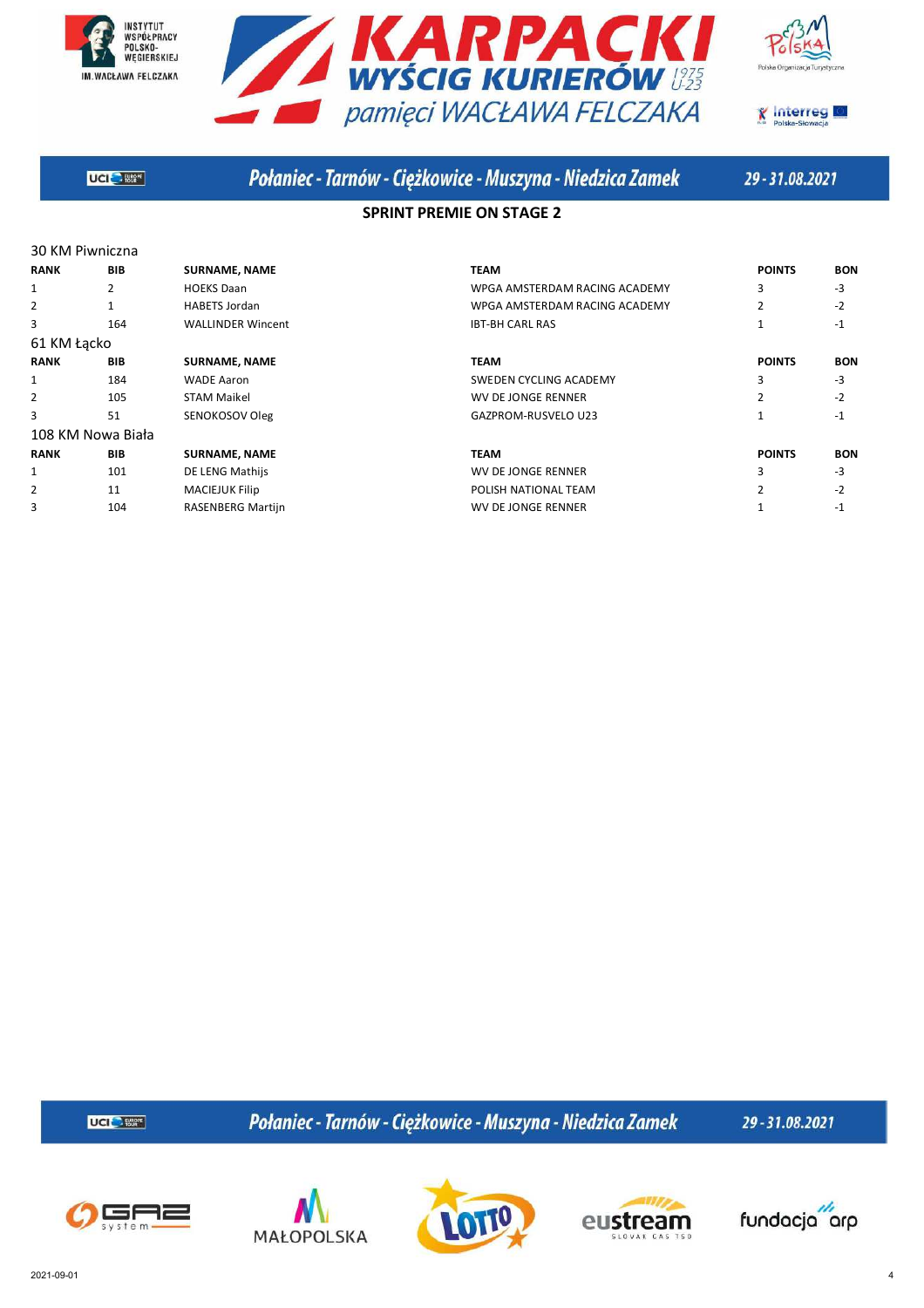







**UGIC** Start

# Połaniec - Tarnów - Ciężkowice - Muszyna - Niedzica Zamek

29-31.08.2021

### **SPRINT PREMIE ON STAGE 2**

| 30 KM Piwniczna   |            |                          |                               |                |            |
|-------------------|------------|--------------------------|-------------------------------|----------------|------------|
| <b>RANK</b>       | <b>BIB</b> | <b>SURNAME, NAME</b>     | <b>TEAM</b>                   | <b>POINTS</b>  | <b>BON</b> |
| 1                 | 2          | <b>HOEKS Daan</b>        | WPGA AMSTERDAM RACING ACADEMY | 3              | $-3$       |
| 2                 |            | <b>HABETS Jordan</b>     | WPGA AMSTERDAM RACING ACADEMY | 2              | $-2$       |
| 3                 | 164        | <b>WALLINDER Wincent</b> | <b>IBT-BH CARL RAS</b>        |                | $-1$       |
| 61 KM Łącko       |            |                          |                               |                |            |
| <b>RANK</b>       | <b>BIB</b> | <b>SURNAME, NAME</b>     | <b>TEAM</b>                   | <b>POINTS</b>  | <b>BON</b> |
| 1                 | 184        | <b>WADE Aaron</b>        | SWEDEN CYCLING ACADEMY        | 3              | $-3$       |
| 2                 | 105        | <b>STAM Maikel</b>       | WV DE JONGE RENNER            | 2              | $-2$       |
| 3                 | 51         | SENOKOSOV Oleg           | GAZPROM-RUSVELO U23           | $\mathbf{1}$   | $-1$       |
| 108 KM Nowa Biała |            |                          |                               |                |            |
| <b>RANK</b>       | <b>BIB</b> | <b>SURNAME, NAME</b>     | <b>TEAM</b>                   | <b>POINTS</b>  | <b>BON</b> |
| 1                 | 101        | DE LENG Mathijs          | WV DE JONGE RENNER            | 3              | $-3$       |
| $\overline{2}$    | 11         | <b>MACIEJUK Filip</b>    | POLISH NATIONAL TEAM          | $\overline{2}$ | $-2$       |
| 3                 | 104        | RASENBERG Martijn        | WV DE JONGE RENNER            |                | $-1$       |

**UCI<sup>C</sup>** Eller

Połaniec - Tarnów - Ciężkowice - Muszyna - Niedzica Zamek







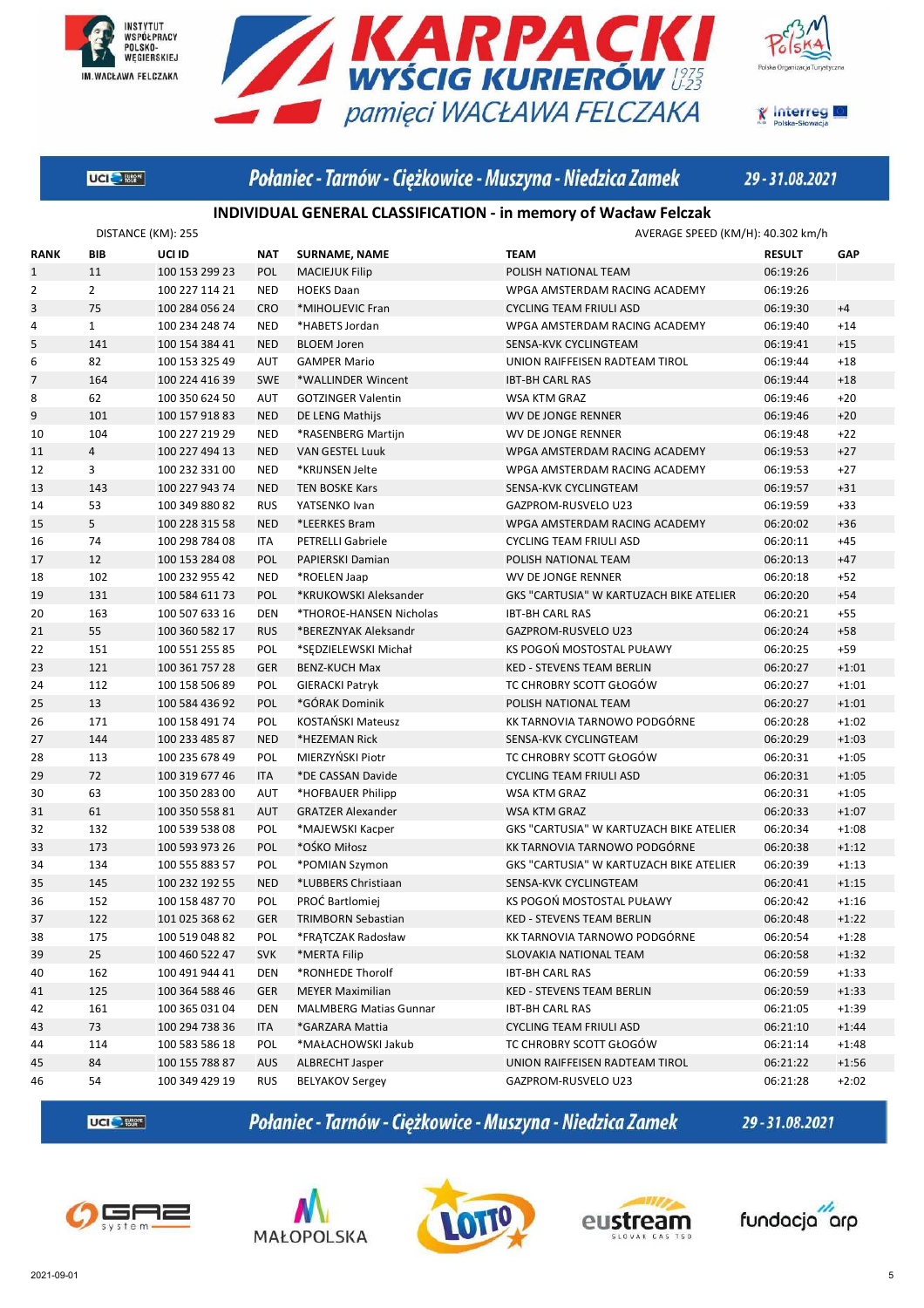





**K** Interreg

**UGIC** Start

# Połaniec - Tarnów - Ciężkowice - Muszyna - Niedzica Zamek

29-31.08.2021

### **INDIVIDUAL GENERAL CLASSIFICATION - in memory of Wacław Felczak**

|                | DISTANCE (KM): 255 |                |            |                               | AVERAGE SPEED (KM/H): 40.302 km/h              |               |         |
|----------------|--------------------|----------------|------------|-------------------------------|------------------------------------------------|---------------|---------|
| <b>RANK</b>    | BIB                | UCI ID         | <b>NAT</b> | <b>SURNAME, NAME</b>          | <b>TEAM</b>                                    | <b>RESULT</b> | GAP     |
| $\mathbf{1}$   | 11                 | 100 153 299 23 | <b>POL</b> | <b>MACIEJUK Filip</b>         | POLISH NATIONAL TEAM                           | 06:19:26      |         |
| $\overline{2}$ | $\overline{2}$     | 100 227 114 21 | <b>NED</b> | <b>HOEKS Daan</b>             | WPGA AMSTERDAM RACING ACADEMY                  | 06:19:26      |         |
| 3              | 75                 | 100 284 056 24 | <b>CRO</b> | *MIHOLJEVIC Fran              | <b>CYCLING TEAM FRIULI ASD</b>                 | 06:19:30      | $+4$    |
| 4              | $\mathbf{1}$       | 100 234 248 74 | <b>NED</b> | *HABETS Jordan                | WPGA AMSTERDAM RACING ACADEMY                  | 06:19:40      | $+14$   |
| 5              | 141                | 100 154 384 41 | <b>NED</b> | <b>BLOEM Joren</b>            | SENSA-KVK CYCLINGTEAM                          | 06:19:41      | $+15$   |
| 6              | 82                 | 100 153 325 49 | <b>AUT</b> | <b>GAMPER Mario</b>           | UNION RAIFFEISEN RADTEAM TIROL                 | 06:19:44      | $+18$   |
| $\overline{7}$ | 164                | 100 224 416 39 | <b>SWE</b> | *WALLINDER Wincent            | <b>IBT-BH CARL RAS</b>                         | 06:19:44      | $+18$   |
| 8              | 62                 | 100 350 624 50 | AUT        | <b>GOTZINGER Valentin</b>     | WSA KTM GRAZ                                   | 06:19:46      | $+20$   |
| 9              | 101                | 100 157 918 83 | <b>NED</b> | DE LENG Mathijs               | <b>WV DE JONGE RENNER</b>                      | 06:19:46      | $+20$   |
| 10             | 104                | 100 227 219 29 | <b>NED</b> | *RASENBERG Martijn            | WV DE JONGE RENNER                             | 06:19:48      | $+22$   |
| 11             | $\overline{4}$     | 100 227 494 13 | <b>NED</b> | <b>VAN GESTEL Luuk</b>        | WPGA AMSTERDAM RACING ACADEMY                  | 06:19:53      | $+27$   |
| 12             | 3                  | 100 232 331 00 | <b>NED</b> | *KRIJNSEN Jelte               | WPGA AMSTERDAM RACING ACADEMY                  | 06:19:53      | $+27$   |
| 13             | 143                | 100 227 943 74 | <b>NED</b> | <b>TEN BOSKE Kars</b>         | SENSA-KVK CYCLINGTEAM                          | 06:19:57      | $+31$   |
| 14             | 53                 | 100 349 880 82 | <b>RUS</b> | YATSENKO Ivan                 | GAZPROM-RUSVELO U23                            | 06:19:59      | $+33$   |
| 15             | 5                  | 100 228 315 58 | <b>NED</b> | *LEERKES Bram                 | WPGA AMSTERDAM RACING ACADEMY                  | 06:20:02      | $+36$   |
| 16             | 74                 | 100 298 784 08 | <b>ITA</b> | <b>PETRELLI Gabriele</b>      | <b>CYCLING TEAM FRIULI ASD</b>                 | 06:20:11      | $+45$   |
| 17             | 12                 | 100 153 284 08 | <b>POL</b> | PAPIERSKI Damian              | POLISH NATIONAL TEAM                           | 06:20:13      | $+47$   |
| 18             | 102                | 100 232 955 42 | <b>NED</b> | *ROELEN Jaap                  | WV DE JONGE RENNER                             | 06:20:18      | $+52$   |
| 19             | 131                | 100 584 611 73 | POL        | *KRUKOWSKI Aleksander         | GKS "CARTUSIA" W KARTUZACH BIKE ATELIER        | 06:20:20      | $+54$   |
| 20             | 163                | 100 507 633 16 | DEN        | *THOROE-HANSEN Nicholas       | <b>IBT-BH CARL RAS</b>                         | 06:20:21      | $+55$   |
| 21             | 55                 | 100 360 582 17 | <b>RUS</b> | *BEREZNYAK Aleksandr          | GAZPROM-RUSVELO U23                            | 06:20:24      | $+58$   |
| 22             | 151                | 100 551 255 85 | POL        | *SEDZIELEWSKI Michał          | KS POGOŃ MOSTOSTAL PUŁAWY                      | 06:20:25      | $+59$   |
| 23             | 121                | 100 361 757 28 | <b>GER</b> | <b>BENZ-KUCH Max</b>          | <b>KED - STEVENS TEAM BERLIN</b>               | 06:20:27      | $+1:01$ |
| 24             | 112                | 100 158 506 89 | POL        | <b>GIERACKI Patryk</b>        | TC CHROBRY SCOTT GŁOGÓW                        | 06:20:27      | $+1:01$ |
| 25             | 13                 | 100 584 436 92 | POL        | *GÓRAK Dominik                | POLISH NATIONAL TEAM                           | 06:20:27      | $+1:01$ |
| 26             | 171                | 100 158 491 74 | POL        | KOSTAŃSKI Mateusz             | KK TARNOVIA TARNOWO PODGÓRNE                   | 06:20:28      | $+1:02$ |
| 27             | 144                | 100 233 485 87 | <b>NED</b> | *HEZEMAN Rick                 | SENSA-KVK CYCLINGTEAM                          | 06:20:29      | $+1:03$ |
| 28             | 113                | 100 235 678 49 | POL        | MIERZYŃSKI Piotr              | TC CHROBRY SCOTT GŁOGÓW                        | 06:20:31      | $+1:05$ |
| 29             | 72                 | 100 319 677 46 | <b>ITA</b> | *DE CASSAN Davide             | <b>CYCLING TEAM FRIULI ASD</b>                 | 06:20:31      | $+1:05$ |
| 30             | 63                 | 100 350 283 00 | <b>AUT</b> | *HOFBAUER Philipp             | WSA KTM GRAZ                                   | 06:20:31      | $+1:05$ |
| 31             | 61                 | 100 350 558 81 | <b>AUT</b> | <b>GRATZER Alexander</b>      | WSA KTM GRAZ                                   | 06:20:33      | $+1:07$ |
| 32             | 132                | 100 539 538 08 | POL        | *MAJEWSKI Kacper              | <b>GKS "CARTUSIA" W KARTUZACH BIKE ATELIER</b> | 06:20:34      | $+1:08$ |
| 33             | 173                | 100 593 973 26 | POL        | *OŚKO Miłosz                  | KK TARNOVIA TARNOWO PODGÓRNE                   | 06:20:38      | $+1:12$ |
| 34             | 134                | 100 555 883 57 | POL        | *POMIAN Szymon                | GKS "CARTUSIA" W KARTUZACH BIKE ATELIER        | 06:20:39      | $+1:13$ |
| 35             | 145                | 100 232 192 55 | <b>NED</b> | *LUBBERS Christiaan           | SENSA-KVK CYCLINGTEAM                          | 06:20:41      | $+1:15$ |
| 36             | 152                | 100 158 487 70 | POL        | PROĆ Bartlomiej               | KS POGOŃ MOSTOSTAL PUŁAWY                      | 06:20:42      | $+1:16$ |
| 37             | 122                | 101 025 368 62 | <b>GER</b> | <b>TRIMBORN Sebastian</b>     | <b>KED - STEVENS TEAM BERLIN</b>               | 06:20:48      | $+1:22$ |
| 38             | 175                | 100 519 048 82 | <b>POL</b> | *FRATCZAK Radosław            | KK TARNOVIA TARNOWO PODGÓRNE                   | 06:20:54      | $+1:28$ |
| 39             | 25                 | 100 460 522 47 | <b>SVK</b> | *MERTA Filip                  | SLOVAKIA NATIONAL TEAM                         | 06:20:58      | $+1:32$ |
| 40             | 162                | 100 491 944 41 | <b>DEN</b> | *RONHEDE Thorolf              | <b>IBT-BH CARL RAS</b>                         | 06:20:59      | $+1:33$ |
| 41             | 125                | 100 364 588 46 | <b>GER</b> | <b>MEYER Maximilian</b>       | KED - STEVENS TEAM BERLIN                      | 06:20:59      | $+1:33$ |
| 42             | 161                | 100 365 031 04 | <b>DEN</b> | <b>MALMBERG Matias Gunnar</b> | <b>IBT-BH CARL RAS</b>                         | 06:21:05      | $+1:39$ |
| 43             | 73                 | 100 294 738 36 | ITA        | *GARZARA Mattia               | <b>CYCLING TEAM FRIULI ASD</b>                 | 06:21:10      | $+1:44$ |
| 44             | 114                | 100 583 586 18 | POL        | *MAŁACHOWSKI Jakub            | TC CHROBRY SCOTT GŁOGÓW                        | 06:21:14      | $+1:48$ |
| 45             | 84                 | 100 155 788 87 | <b>AUS</b> | ALBRECHT Jasper               | UNION RAIFFEISEN RADTEAM TIROL                 | 06:21:22      | $+1:56$ |
| 46             | 54                 | 100 349 429 19 | <b>RUS</b> | <b>BELYAKOV Sergey</b>        | GAZPROM-RUSVELO U23                            | 06:21:28      | $+2:02$ |

**UCI<sup>C</sup>** Eller

Połaniec - Tarnów - Ciężkowice - Muszyna - Niedzica Zamek









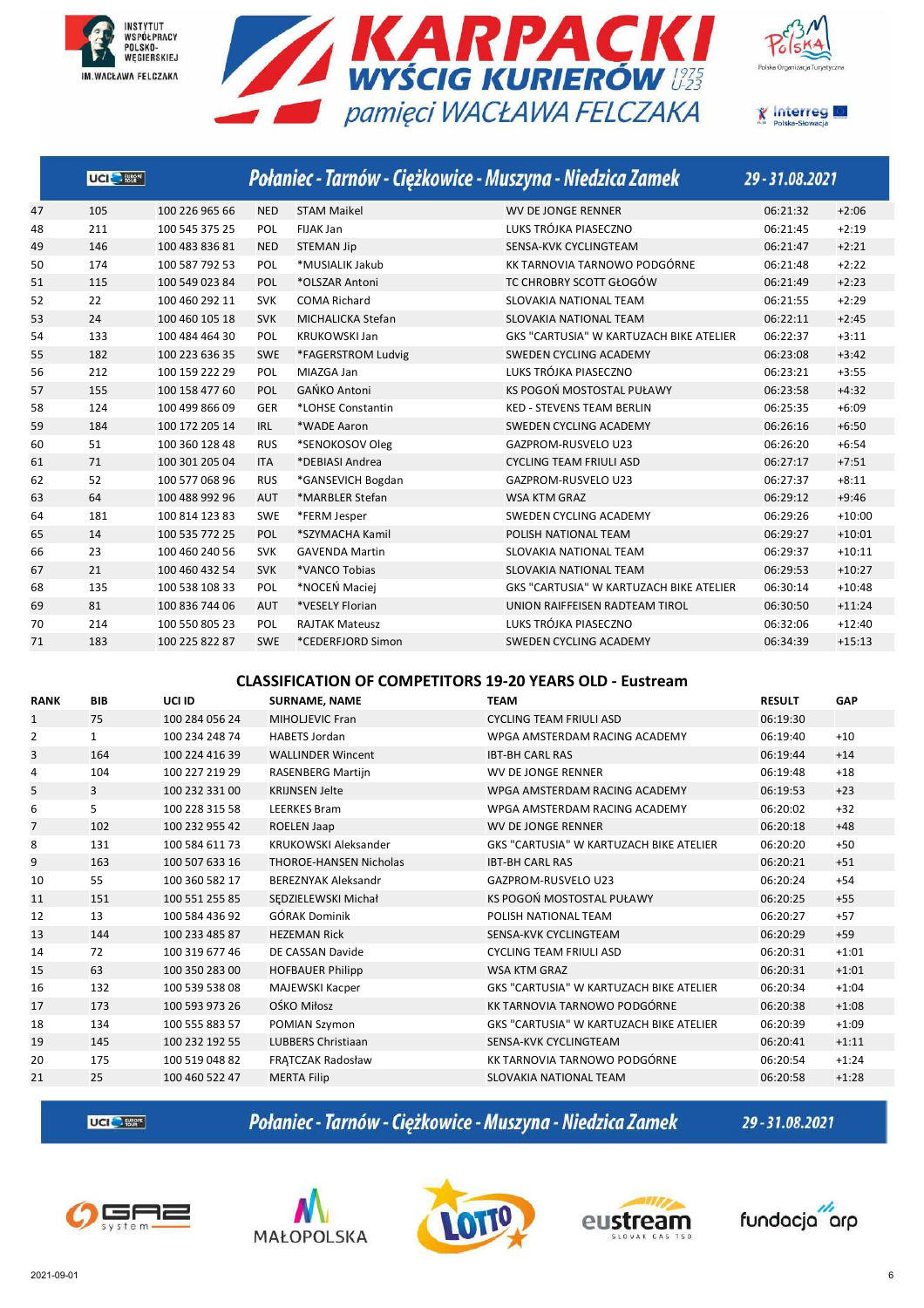







|    | UCI <sup>O</sup> |                |            |                       | Połaniec - Tarnów - Ciężkowice - Muszyna - Niedzica Zamek | 29-31.08.2021 |          |
|----|------------------|----------------|------------|-----------------------|-----------------------------------------------------------|---------------|----------|
| 47 | 105              | 100 226 965 66 | <b>NED</b> | <b>STAM Maikel</b>    | <b>WV DE JONGE RENNER</b>                                 | 06:21:32      | $+2:06$  |
| 48 | 211              | 100 545 375 25 | POL        | <b>FIJAK Jan</b>      | LUKS TRÓJKA PIASECZNO                                     | 06:21:45      | $+2:19$  |
| 49 | 146              | 100 483 836 81 | <b>NED</b> | <b>STEMAN Jip</b>     | SENSA-KVK CYCLINGTEAM                                     | 06:21:47      | $+2:21$  |
| 50 | 174              | 100 587 792 53 | POL        | *MUSIALIK Jakub       | KK TARNOVIA TARNOWO PODGÓRNE                              | 06:21:48      | $+2:22$  |
| 51 | 115              | 100 549 023 84 | POL        | *OLSZAR Antoni        | TC CHROBRY SCOTT GŁOGÓW                                   | 06:21:49      | $+2:23$  |
| 52 | 22               | 100 460 292 11 | <b>SVK</b> | <b>COMA Richard</b>   | SLOVAKIA NATIONAL TEAM                                    | 06:21:55      | $+2:29$  |
| 53 | 24               | 100 460 105 18 | <b>SVK</b> | MICHALICKA Stefan     | SLOVAKIA NATIONAL TEAM                                    | 06:22:11      | $+2:45$  |
| 54 | 133              | 100 484 464 30 | POL        | <b>KRUKOWSKI Jan</b>  | <b>GKS "CARTUSIA" W KARTUZACH BIKE ATELIER</b>            | 06:22:37      | $+3:11$  |
| 55 | 182              | 100 223 636 35 | <b>SWE</b> | *FAGERSTROM Ludvig    | SWEDEN CYCLING ACADEMY                                    | 06:23:08      | $+3:42$  |
| 56 | 212              | 100 159 222 29 | POL        | MIAZGA Jan            | LUKS TRÓJKA PIASECZNO                                     | 06:23:21      | $+3:55$  |
| 57 | 155              | 100 158 477 60 | <b>POL</b> | <b>GAŃKO Antoni</b>   | KS POGOŃ MOSTOSTAL PUŁAWY                                 | 06:23:58      | $+4:32$  |
| 58 | 124              | 100 499 866 09 | GER        | *LOHSE Constantin     | <b>KED - STEVENS TEAM BERLIN</b>                          | 06:25:35      | $+6:09$  |
| 59 | 184              | 100 172 205 14 | <b>IRL</b> | *WADE Aaron           | SWEDEN CYCLING ACADEMY                                    | 06:26:16      | $+6:50$  |
| 60 | 51               | 100 360 128 48 | <b>RUS</b> | *SENOKOSOV Oleg       | GAZPROM-RUSVELO U23                                       | 06:26:20      | $+6:54$  |
| 61 | 71               | 100 301 205 04 | <b>ITA</b> | *DEBIASI Andrea       | <b>CYCLING TEAM FRIULI ASD</b>                            | 06:27:17      | $+7:51$  |
| 62 | 52               | 100 577 068 96 | <b>RUS</b> | *GANSEVICH Bogdan     | GAZPROM-RUSVELO U23                                       | 06:27:37      | $+8:11$  |
| 63 | 64               | 100 488 992 96 | <b>AUT</b> | *MARBLER Stefan       | <b>WSA KTM GRAZ</b>                                       | 06:29:12      | $+9:46$  |
| 64 | 181              | 100 814 123 83 | <b>SWE</b> | *FERM Jesper          | SWEDEN CYCLING ACADEMY                                    | 06:29:26      | $+10:00$ |
| 65 | 14               | 100 535 772 25 | <b>POL</b> | *SZYMACHA Kamil       | POLISH NATIONAL TEAM                                      | 06:29:27      | $+10:01$ |
| 66 | 23               | 100 460 240 56 | <b>SVK</b> | <b>GAVENDA Martin</b> | SLOVAKIA NATIONAL TEAM                                    | 06:29:37      | $+10:11$ |
| 67 | 21               | 100 460 432 54 | <b>SVK</b> | *VANCO Tobias         | <b>SLOVAKIA NATIONAL TEAM</b>                             | 06:29:53      | $+10:27$ |
| 68 | 135              | 100 538 108 33 | POL        | *NOCEŃ Maciej         | <b>GKS "CARTUSIA" W KARTUZACH BIKE ATELIER</b>            | 06:30:14      | $+10:48$ |
| 69 | 81               | 100 836 744 06 | <b>AUT</b> | *VESELY Florian       | UNION RAIFFEISEN RADTEAM TIROL                            | 06:30:50      | $+11:24$ |
| 70 | 214              | 100 550 805 23 | POL        | <b>RAJTAK Mateusz</b> | LUKS TRÓJKA PIASECZNO                                     | 06:32:06      | $+12:40$ |
| 71 | 183              | 100 225 822 87 | <b>SWE</b> | *CEDERFJORD Simon     | SWEDEN CYCLING ACADEMY                                    | 06:34:39      | $+15:13$ |

### **CLASSIFICATION OF COMPETITORS 19-20 YEARS OLD - Eustream**

| <b>RANK</b>    | <b>BIB</b>   | UCI ID         | <b>SURNAME, NAME</b>          | <b>TEAM</b>                                    | <b>RESULT</b> | <b>GAP</b> |
|----------------|--------------|----------------|-------------------------------|------------------------------------------------|---------------|------------|
| 1              | 75           | 100 284 056 24 | <b>MIHOLJEVIC Fran</b>        | <b>CYCLING TEAM FRIULI ASD</b>                 | 06:19:30      |            |
| $\overline{2}$ | $\mathbf{1}$ | 100 234 248 74 | <b>HABETS Jordan</b>          | WPGA AMSTERDAM RACING ACADEMY                  | 06:19:40      | $+10$      |
| 3              | 164          | 100 224 416 39 | <b>WALLINDER Wincent</b>      | <b>IBT-BH CARL RAS</b>                         | 06:19:44      | $+14$      |
| 4              | 104          | 100 227 219 29 | RASENBERG Martijn             | <b>WV DE JONGE RENNER</b>                      | 06:19:48      | $+18$      |
| 5              | 3            | 100 232 331 00 | <b>KRIJNSEN Jelte</b>         | WPGA AMSTERDAM RACING ACADEMY                  | 06:19:53      | $+23$      |
| 6              | 5            | 100 228 315 58 | <b>LEERKES Bram</b>           | WPGA AMSTERDAM RACING ACADEMY                  | 06:20:02      | $+32$      |
| 7              | 102          | 100 232 955 42 | ROELEN Jaap                   | <b>WV DE JONGE RENNER</b>                      | 06:20:18      | $+48$      |
| 8              | 131          | 100 584 611 73 | <b>KRUKOWSKI Aleksander</b>   | GKS "CARTUSIA" W KARTUZACH BIKE ATELIER        | 06:20:20      | $+50$      |
| 9              | 163          | 100 507 633 16 | <b>THOROE-HANSEN Nicholas</b> | <b>IBT-BH CARL RAS</b>                         | 06:20:21      | $+51$      |
| 10             | 55           | 100 360 582 17 | <b>BEREZNYAK Aleksandr</b>    | <b>GAZPROM-RUSVELO U23</b>                     | 06:20:24      | $+54$      |
| 11             | 151          | 100 551 255 85 | SEDZIELEWSKI Michał           | KS POGOŃ MOSTOSTAL PUŁAWY                      | 06:20:25      | $+55$      |
| 12             | 13           | 100 584 436 92 | GÓRAK Dominik                 | POLISH NATIONAL TEAM                           | 06:20:27      | $+57$      |
| 13             | 144          | 100 233 485 87 | <b>HEZEMAN Rick</b>           | SENSA-KVK CYCLINGTEAM                          | 06:20:29      | $+59$      |
| 14             | 72           | 100 319 677 46 | DE CASSAN Davide              | <b>CYCLING TEAM FRIULI ASD</b>                 | 06:20:31      | $+1:01$    |
| 15             | 63           | 100 350 283 00 | <b>HOFBAUER Philipp</b>       | <b>WSA KTM GRAZ</b>                            | 06:20:31      | $+1:01$    |
| 16             | 132          | 100 539 538 08 | MAJEWSKI Kacper               | <b>GKS "CARTUSIA" W KARTUZACH BIKE ATELIER</b> | 06:20:34      | $+1:04$    |
| 17             | 173          | 100 593 973 26 | OŚKO Miłosz                   | KK TARNOVIA TARNOWO PODGÓRNE                   | 06:20:38      | $+1:08$    |
| 18             | 134          | 100 555 883 57 | POMIAN Szymon                 | <b>GKS "CARTUSIA" W KARTUZACH BIKE ATELIER</b> | 06:20:39      | $+1:09$    |
| 19             | 145          | 100 232 192 55 | <b>LUBBERS Christiaan</b>     | SENSA-KVK CYCLINGTEAM                          | 06:20:41      | $+1:11$    |
| 20             | 175          | 100 519 048 82 | FRATCZAK Radosław             | KK TARNOVIA TARNOWO PODGÓRNE                   | 06:20:54      | $+1:24$    |
| 21             | 25           | 100 460 522 47 | <b>MERTA Filip</b>            | <b>SLOVAKIA NATIONAL TEAM</b>                  | 06:20:58      | $+1:28$    |
|                |              |                |                               |                                                |               |            |

UCI<sup>C</sup>-RM<sup>\*</sup>

Połaniec - Tarnów - Ciężkowice - Muszyna - Niedzica Zamek







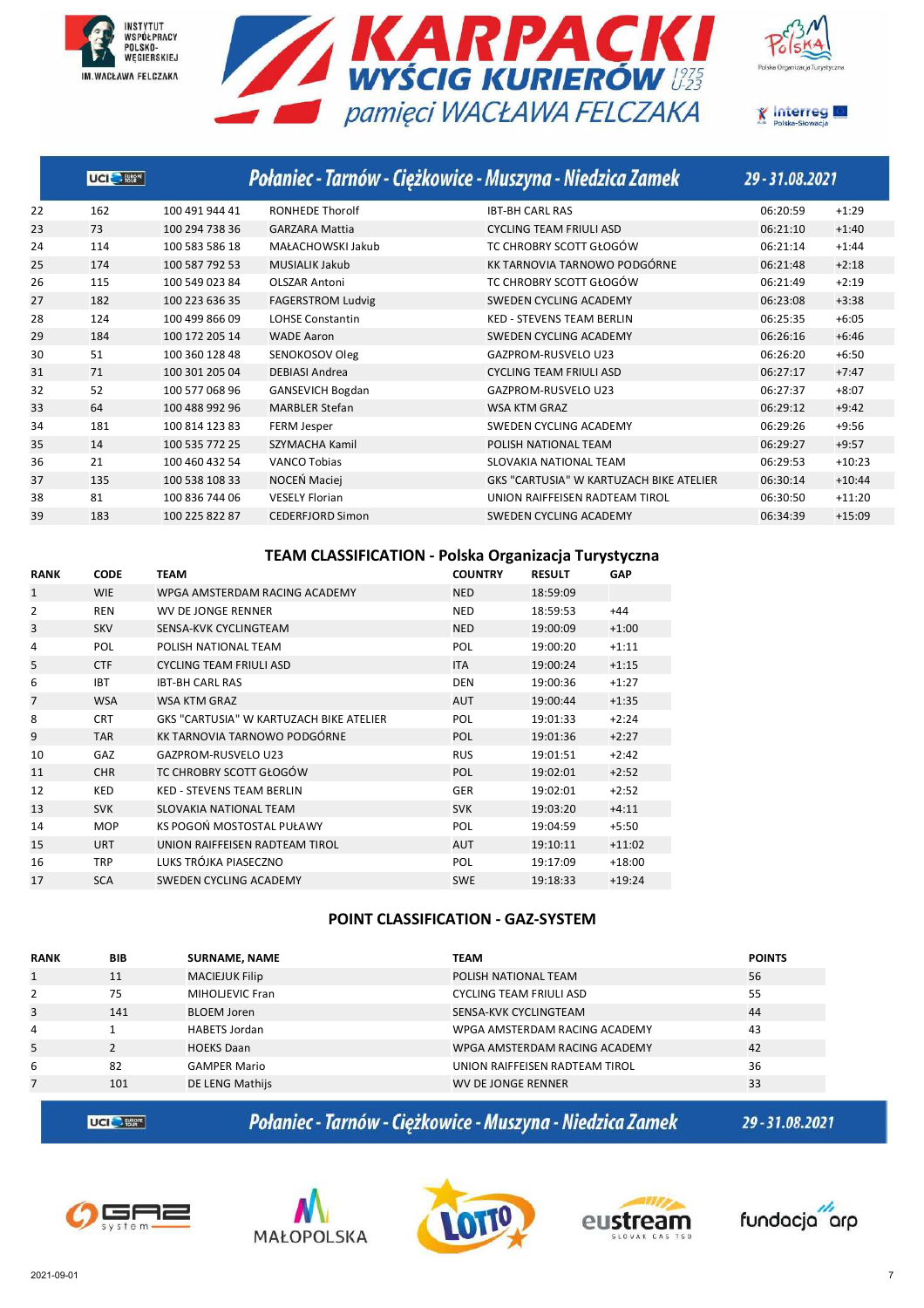







|    | UCI <sup>O</sup> |                |                          | Połaniec - Tarnów - Ciężkowice - Muszyna - Niedzica Zamek | 29 - 31.08.2021 |          |
|----|------------------|----------------|--------------------------|-----------------------------------------------------------|-----------------|----------|
| 22 | 162              | 100 491 944 41 | <b>RONHEDE Thorolf</b>   | <b>IBT-BH CARL RAS</b>                                    | 06:20:59        | $+1:29$  |
| 23 | 73               | 100 294 738 36 | <b>GARZARA Mattia</b>    | <b>CYCLING TEAM FRIULI ASD</b>                            | 06:21:10        | $+1:40$  |
| 24 | 114              | 100 583 586 18 | MAŁACHOWSKI Jakub        | TC CHROBRY SCOTT GŁOGÓW                                   | 06:21:14        | $+1:44$  |
| 25 | 174              | 100 587 792 53 | <b>MUSIALIK Jakub</b>    | KK TARNOVIA TARNOWO PODGÓRNE                              | 06:21:48        | $+2:18$  |
| 26 | 115              | 100 549 023 84 | <b>OLSZAR Antoni</b>     | TC CHROBRY SCOTT GŁOGÓW                                   | 06:21:49        | $+2:19$  |
| 27 | 182              | 100 223 636 35 | <b>FAGERSTROM Ludvig</b> | SWEDEN CYCLING ACADEMY                                    | 06:23:08        | $+3:38$  |
| 28 | 124              | 100 499 866 09 | <b>LOHSE Constantin</b>  | <b>KED - STEVENS TEAM BERLIN</b>                          | 06:25:35        | $+6:05$  |
| 29 | 184              | 100 172 205 14 | <b>WADE Aaron</b>        | SWEDEN CYCLING ACADEMY                                    | 06:26:16        | $+6:46$  |
| 30 | 51               | 100 360 128 48 | SENOKOSOV Oleg           | <b>GAZPROM-RUSVELO U23</b>                                | 06:26:20        | $+6:50$  |
| 31 | 71               | 100 301 205 04 | <b>DEBIASI Andrea</b>    | <b>CYCLING TEAM FRIULI ASD</b>                            | 06:27:17        | $+7:47$  |
| 32 | 52               | 100 577 068 96 | <b>GANSEVICH Bogdan</b>  | <b>GAZPROM-RUSVELO U23</b>                                | 06:27:37        | $+8:07$  |
| 33 | 64               | 100 488 992 96 | <b>MARBLER Stefan</b>    | <b>WSA KTM GRAZ</b>                                       | 06:29:12        | $+9:42$  |
| 34 | 181              | 100 814 123 83 | FERM Jesper              | SWEDEN CYCLING ACADEMY                                    | 06:29:26        | $+9:56$  |
| 35 | 14               | 100 535 772 25 | <b>SZYMACHA Kamil</b>    | POLISH NATIONAL TEAM                                      | 06:29:27        | $+9:57$  |
| 36 | 21               | 100 460 432 54 | <b>VANCO Tobias</b>      | SLOVAKIA NATIONAL TEAM                                    | 06:29:53        | $+10:23$ |
| 37 | 135              | 100 538 108 33 | NOCEŃ Maciei             | <b>GKS "CARTUSIA" W KARTUZACH BIKE ATELIER</b>            | 06:30:14        | $+10:44$ |
| 38 | 81               | 100 836 744 06 | <b>VESELY Florian</b>    | UNION RAIFFEISEN RADTEAM TIROL                            | 06:30:50        | $+11:20$ |
| 39 | 183              | 100 225 822 87 | CEDERFJORD Simon         | SWEDEN CYCLING ACADEMY                                    | 06:34:39        | $+15:09$ |
|    |                  |                |                          |                                                           |                 |          |

### **TEAM CLASSIFICATION - Polska Organizacja Turystyczna**

| <b>RANK</b>  | <b>CODE</b> | TEAM                                           | <b>COUNTRY</b> | <b>RESULT</b> | <b>GAP</b> |
|--------------|-------------|------------------------------------------------|----------------|---------------|------------|
| $\mathbf{1}$ | <b>WIE</b>  | WPGA AMSTERDAM RACING ACADEMY                  | <b>NED</b>     | 18:59:09      |            |
| 2            | <b>REN</b>  | WV DE JONGE RENNER                             | <b>NED</b>     | 18:59:53      | $+44$      |
| 3            | <b>SKV</b>  | SENSA-KVK CYCLINGTEAM                          | <b>NED</b>     | 19:00:09      | $+1:00$    |
| 4            | <b>POL</b>  | POLISH NATIONAL TEAM                           | <b>POL</b>     | 19:00:20      | $+1:11$    |
| 5            | <b>CTF</b>  | CYCLING TEAM FRIULI ASD                        | <b>ITA</b>     | 19:00:24      | $+1:15$    |
| 6            | <b>IBT</b>  | <b>IBT-BH CARL RAS</b>                         | <b>DEN</b>     | 19:00:36      | $+1:27$    |
| 7            | <b>WSA</b>  | <b>WSA KTM GRAZ</b>                            | <b>AUT</b>     | 19:00:44      | $+1:35$    |
| 8            | <b>CRT</b>  | <b>GKS "CARTUSIA" W KARTUZACH BIKE ATELIER</b> | <b>POL</b>     | 19:01:33      | $+2:24$    |
| 9            | <b>TAR</b>  | KK TARNOVIA TARNOWO PODGÓRNE                   | <b>POL</b>     | 19:01:36      | $+2:27$    |
| 10           | GAZ         | GAZPROM-RUSVELO U23                            | <b>RUS</b>     | 19:01:51      | $+2:42$    |
| 11           | <b>CHR</b>  | TC CHROBRY SCOTT GŁOGÓW                        | <b>POL</b>     | 19:02:01      | $+2:52$    |
| 12           | KED         | <b>KED - STEVENS TEAM BERLIN</b>               | <b>GER</b>     | 19:02:01      | $+2:52$    |
| 13           | <b>SVK</b>  | SLOVAKIA NATIONAL TEAM                         | <b>SVK</b>     | 19:03:20      | $+4:11$    |
| 14           | <b>MOP</b>  | KS POGOŃ MOSTOSTAL PUŁAWY                      | <b>POL</b>     | 19:04:59      | $+5:50$    |
| 15           | <b>URT</b>  | UNION RAIFFEISEN RADTEAM TIROL                 | <b>AUT</b>     | 19:10:11      | $+11:02$   |
| 16           | <b>TRP</b>  | LUKS TRÓJKA PIASECZNO                          | <b>POL</b>     | 19:17:09      | $+18:00$   |
| 17           | <b>SCA</b>  | SWEDEN CYCLING ACADEMY                         | <b>SWE</b>     | 19:18:33      | $+19:24$   |

### **POINT CLASSIFICATION - GAZ-SYSTEM**

| <b>RANK</b>  | <b>BIB</b> | <b>SURNAME, NAME</b>  | <b>TEAM</b>                    | <b>POINTS</b> |
|--------------|------------|-----------------------|--------------------------------|---------------|
| $\mathbf{1}$ | 11         | <b>MACIEJUK Filip</b> | POLISH NATIONAL TEAM           | 56            |
| 2            | 75         | MIHOLJEVIC Fran       | <b>CYCLING TEAM FRIULI ASD</b> | 55            |
| 3            | 141        | <b>BLOEM Joren</b>    | SENSA-KVK CYCLINGTEAM          | 44            |
| 4            |            | HABETS Jordan         | WPGA AMSTERDAM RACING ACADEMY  | 43            |
| 5            |            | <b>HOEKS Daan</b>     | WPGA AMSTERDAM RACING ACADEMY  | 42            |
| 6            | 82         | <b>GAMPER Mario</b>   | UNION RAIFFEISEN RADTEAM TIROL | 36            |
| 7            | 101        | DE LENG Mathijs       | WV DE JONGE RENNER             | 33            |
|              |            |                       |                                |               |

**UCI<sup>C</sup>** 

Połaniec - Tarnów - Ciężkowice - Muszyna - Niedzica Zamek









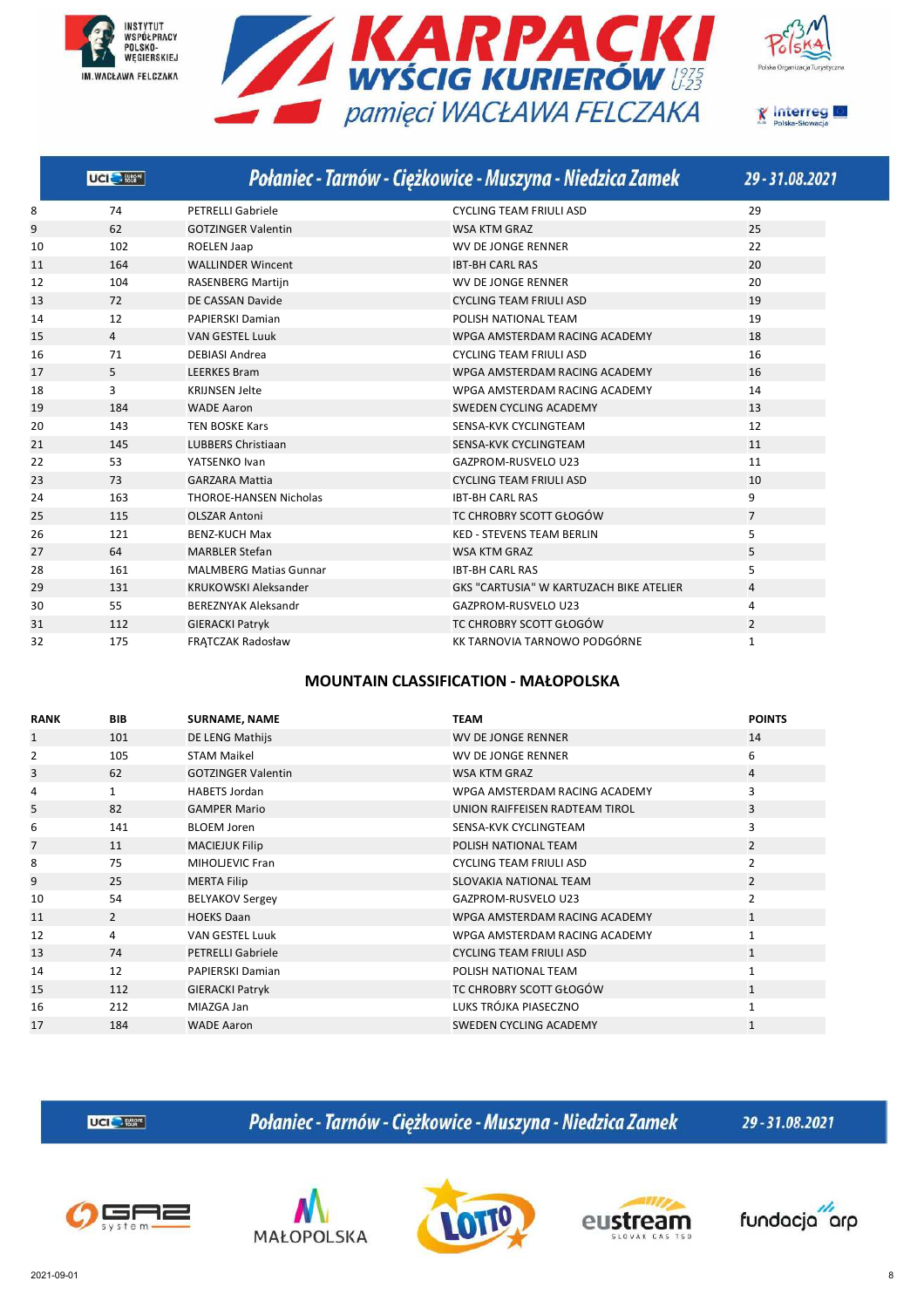![](_page_7_Picture_0.jpeg)

![](_page_7_Picture_1.jpeg)

![](_page_7_Picture_2.jpeg)

![](_page_7_Picture_3.jpeg)

|    | UCI <sup>O</sup> Harr |                               | Połaniec - Tarnów - Ciężkowice - Muszyna - Niedzica Zamek | 29-31.08.2021  |
|----|-----------------------|-------------------------------|-----------------------------------------------------------|----------------|
| 8  | 74                    | <b>PETRELLI Gabriele</b>      | <b>CYCLING TEAM FRIULI ASD</b>                            | 29             |
| 9  | 62                    | <b>GOTZINGER Valentin</b>     | <b>WSA KTM GRAZ</b>                                       | 25             |
| 10 | 102                   | <b>ROELEN Jaap</b>            | <b>WV DE JONGE RENNER</b>                                 | 22             |
| 11 | 164                   | <b>WALLINDER Wincent</b>      | <b>IBT-BH CARL RAS</b>                                    | 20             |
| 12 | 104                   | <b>RASENBERG Martijn</b>      | <b>WV DE JONGE RENNER</b>                                 | 20             |
| 13 | 72                    | DE CASSAN Davide              | <b>CYCLING TEAM FRIULI ASD</b>                            | 19             |
| 14 | 12                    | <b>PAPIERSKI Damian</b>       | POLISH NATIONAL TEAM                                      | 19             |
| 15 | $\overline{4}$        | <b>VAN GESTEL Luuk</b>        | WPGA AMSTERDAM RACING ACADEMY                             | 18             |
| 16 | 71                    | <b>DEBIASI Andrea</b>         | <b>CYCLING TEAM FRIULI ASD</b>                            | 16             |
| 17 | 5                     | <b>LEERKES Bram</b>           | WPGA AMSTERDAM RACING ACADEMY                             | 16             |
| 18 | 3                     | <b>KRIJNSEN Jelte</b>         | WPGA AMSTERDAM RACING ACADEMY                             | 14             |
| 19 | 184                   | <b>WADE Aaron</b>             | <b>SWEDEN CYCLING ACADEMY</b>                             | 13             |
| 20 | 143                   | <b>TEN BOSKE Kars</b>         | SENSA-KVK CYCLINGTEAM                                     | 12             |
| 21 | 145                   | <b>LUBBERS Christiaan</b>     | SENSA-KVK CYCLINGTEAM                                     | 11             |
| 22 | 53                    | YATSENKO Ivan                 | GAZPROM-RUSVELO U23                                       | 11             |
| 23 | 73                    | <b>GARZARA Mattia</b>         | <b>CYCLING TEAM FRIULI ASD</b>                            | 10             |
| 24 | 163                   | <b>THOROE-HANSEN Nicholas</b> | <b>IBT-BH CARL RAS</b>                                    | 9              |
| 25 | 115                   | <b>OLSZAR Antoni</b>          | TC CHROBRY SCOTT GŁOGÓW                                   | $\overline{7}$ |
| 26 | 121                   | <b>BENZ-KUCH Max</b>          | <b>KED - STEVENS TEAM BERLIN</b>                          | 5              |
| 27 | 64                    | <b>MARBLER Stefan</b>         | <b>WSA KTM GRAZ</b>                                       | 5              |
| 28 | 161                   | <b>MALMBERG Matias Gunnar</b> | <b>IBT-BH CARL RAS</b>                                    | 5              |
| 29 | 131                   | <b>KRUKOWSKI Aleksander</b>   | <b>GKS "CARTUSIA" W KARTUZACH BIKE ATELIER</b>            | 4              |
| 30 | 55                    | <b>BEREZNYAK Aleksandr</b>    | <b>GAZPROM-RUSVELO U23</b>                                | 4              |
| 31 | 112                   | <b>GIERACKI Patryk</b>        | TC CHROBRY SCOTT GŁOGÓW                                   | $\overline{2}$ |
| 32 | 175                   | <b>FRATCZAK Radosław</b>      | KK TARNOVIA TARNOWO PODGÓRNE                              | $\mathbf{1}$   |

### **MOUNTAIN CLASSIFICATION - MAŁOPOLSKA**

| <b>RANK</b> | <b>BIB</b>     | <b>SURNAME, NAME</b>      | <b>TEAM</b>                    | <b>POINTS</b>  |
|-------------|----------------|---------------------------|--------------------------------|----------------|
| 1           | 101            | DE LENG Mathijs           | <b>WV DE JONGE RENNER</b>      | 14             |
| 2           | 105            | <b>STAM Maikel</b>        | WV DE JONGE RENNER             | 6              |
| 3           | 62             | <b>GOTZINGER Valentin</b> | WSA KTM GRAZ                   | 4              |
| 4           | $\mathbf{1}$   | <b>HABETS Jordan</b>      | WPGA AMSTERDAM RACING ACADEMY  | 3              |
| 5           | 82             | <b>GAMPER Mario</b>       | UNION RAIFFEISEN RADTEAM TIROL | 3              |
| 6           | 141            | <b>BLOEM Joren</b>        | SENSA-KVK CYCLINGTEAM          | 3              |
| 7           | 11             | <b>MACIEJUK Filip</b>     | POLISH NATIONAL TEAM           | $\overline{2}$ |
| 8           | 75             | MIHOLJEVIC Fran           | <b>CYCLING TEAM FRIULI ASD</b> | $\overline{2}$ |
| 9           | 25             | <b>MERTA Filip</b>        | SLOVAKIA NATIONAL TEAM         | $\overline{2}$ |
| 10          | 54             | <b>BELYAKOV Sergey</b>    | GAZPROM-RUSVELO U23            | $\overline{2}$ |
| 11          | $\overline{2}$ | <b>HOEKS Daan</b>         | WPGA AMSTERDAM RACING ACADEMY  | $\mathbf{1}$   |
| 12          | 4              | <b>VAN GESTEL Luuk</b>    | WPGA AMSTERDAM RACING ACADEMY  | $\mathbf{1}$   |
| 13          | 74             | <b>PETRELLI Gabriele</b>  | <b>CYCLING TEAM FRIULI ASD</b> | $\mathbf{1}$   |
| 14          | 12             | PAPIERSKI Damian          | POLISH NATIONAL TEAM           |                |
| 15          | 112            | <b>GIERACKI Patryk</b>    | TC CHROBRY SCOTT GŁOGÓW        | $\mathbf{1}$   |
| 16          | 212            | MIAZGA Jan                | LUKS TRÓJKA PIASECZNO          | $\mathbf 1$    |
| 17          | 184            | <b>WADE Aaron</b>         | SWEDEN CYCLING ACADEMY         | $\mathbf{1}$   |

**UCI<sup>C</sup>** Eller

Połaniec - Tarnów - Ciężkowice - Muszyna - Niedzica Zamek

![](_page_7_Picture_10.jpeg)

![](_page_7_Picture_11.jpeg)

![](_page_7_Picture_12.jpeg)

![](_page_7_Picture_13.jpeg)

![](_page_7_Picture_14.jpeg)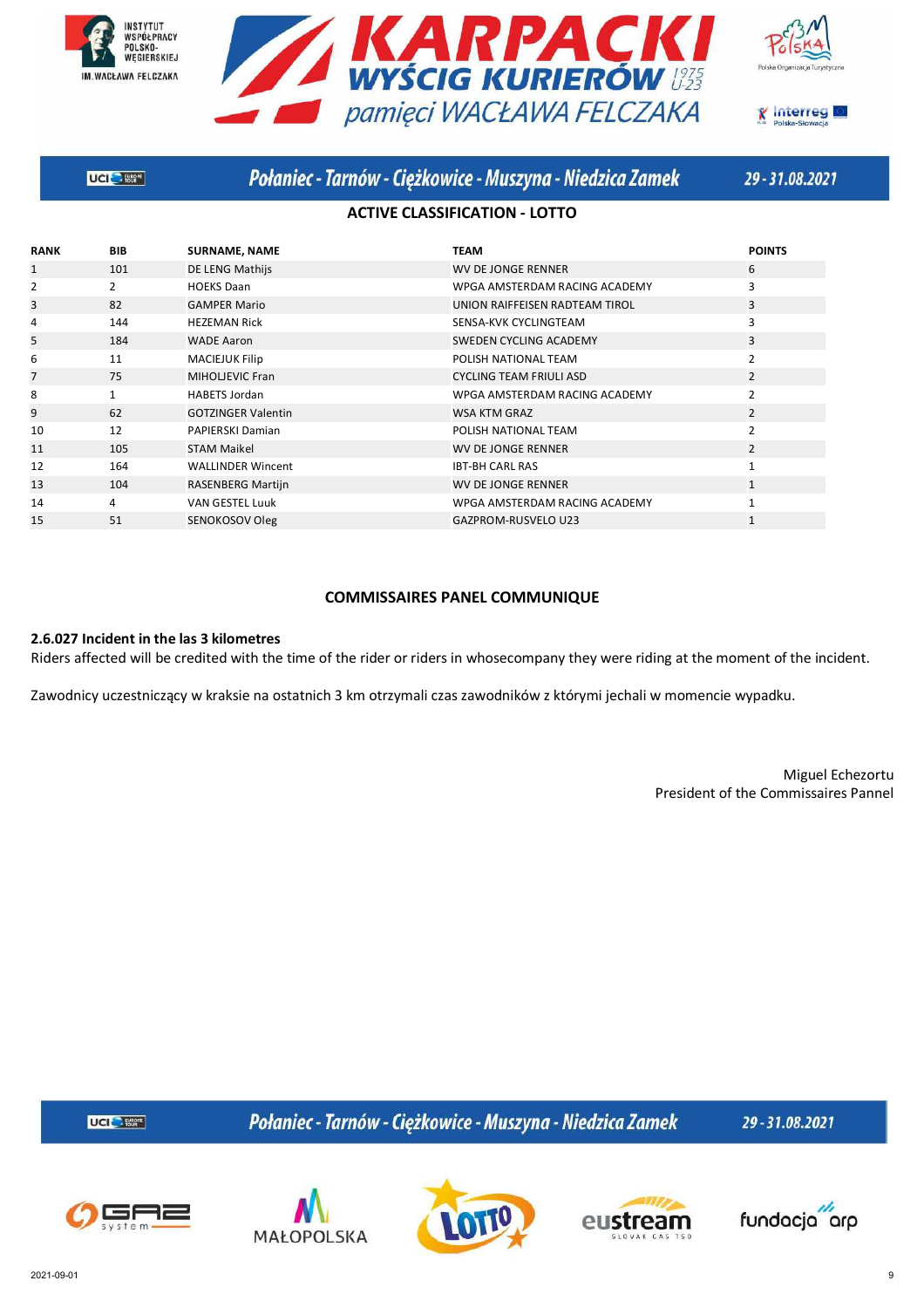![](_page_8_Picture_0.jpeg)

![](_page_8_Picture_1.jpeg)

![](_page_8_Picture_2.jpeg)

![](_page_8_Picture_3.jpeg)

**UCI SERVICE** 

## Połaniec - Tarnów - Ciężkowice - Muszyna - Niedzica Zamek

29-31.08.2021

### **ACTIVE CLASSIFICATION - LOTTO**

| <b>RANK</b> | <b>BIB</b>     | <b>SURNAME, NAME</b>      | <b>TEAM</b>                    | <b>POINTS</b>  |
|-------------|----------------|---------------------------|--------------------------------|----------------|
| 1           | 101            | DE LENG Mathijs           | WV DE JONGE RENNER             | 6              |
| 2           | $\overline{2}$ | <b>HOEKS Daan</b>         | WPGA AMSTERDAM RACING ACADEMY  | 3              |
| 3           | 82             | <b>GAMPER Mario</b>       | UNION RAIFFEISEN RADTEAM TIROL | 3              |
| 4           | 144            | <b>HEZEMAN Rick</b>       | SENSA-KVK CYCLINGTEAM          | 3              |
| 5           | 184            | <b>WADE Aaron</b>         | SWEDEN CYCLING ACADEMY         | 3              |
| 6           | 11             | <b>MACIEJUK Filip</b>     | POLISH NATIONAL TEAM           | 2              |
| 7           | 75             | MIHOLJEVIC Fran           | <b>CYCLING TEAM FRIULI ASD</b> | $\overline{2}$ |
| 8           | $\mathbf{1}$   | <b>HABETS Jordan</b>      | WPGA AMSTERDAM RACING ACADEMY  | 2              |
| 9           | 62             | <b>GOTZINGER Valentin</b> | WSA KTM GRAZ                   | $\overline{2}$ |
| 10          | 12             | PAPIERSKI Damian          | POLISH NATIONAL TEAM           | $\overline{2}$ |
| 11          | 105            | <b>STAM Maikel</b>        | <b>WV DE JONGE RENNER</b>      | $\overline{2}$ |
| 12          | 164            | <b>WALLINDER Wincent</b>  | <b>IBT-BH CARL RAS</b>         |                |
| 13          | 104            | RASENBERG Martijn         | WV DE JONGE RENNER             |                |
| 14          | 4              | <b>VAN GESTEL Luuk</b>    | WPGA AMSTERDAM RACING ACADEMY  |                |
| 15          | 51             | SENOKOSOV Oleg            | <b>GAZPROM-RUSVELO U23</b>     |                |

### **COMMISSAIRES PANEL COMMUNIQUE**

### **2.6.027 Incident in the las 3 kilometres**

Riders affected will be credited with the time of the rider or riders in whosecompany they were riding at the moment of the incident.

Zawodnicy uczestniczący w kraksie na ostatnich 3 km otrzymali czas zawodników z którymi jechali w momencie wypadku.

Miguel Echezortu President of the Commissaires Pannel

UCI<sup>C</sup>- Etter

Połaniec - Tarnów - Ciężkowice - Muszyna - Niedzica Zamek

![](_page_8_Picture_17.jpeg)

![](_page_8_Picture_18.jpeg)

![](_page_8_Picture_19.jpeg)

![](_page_8_Picture_20.jpeg)

![](_page_8_Picture_21.jpeg)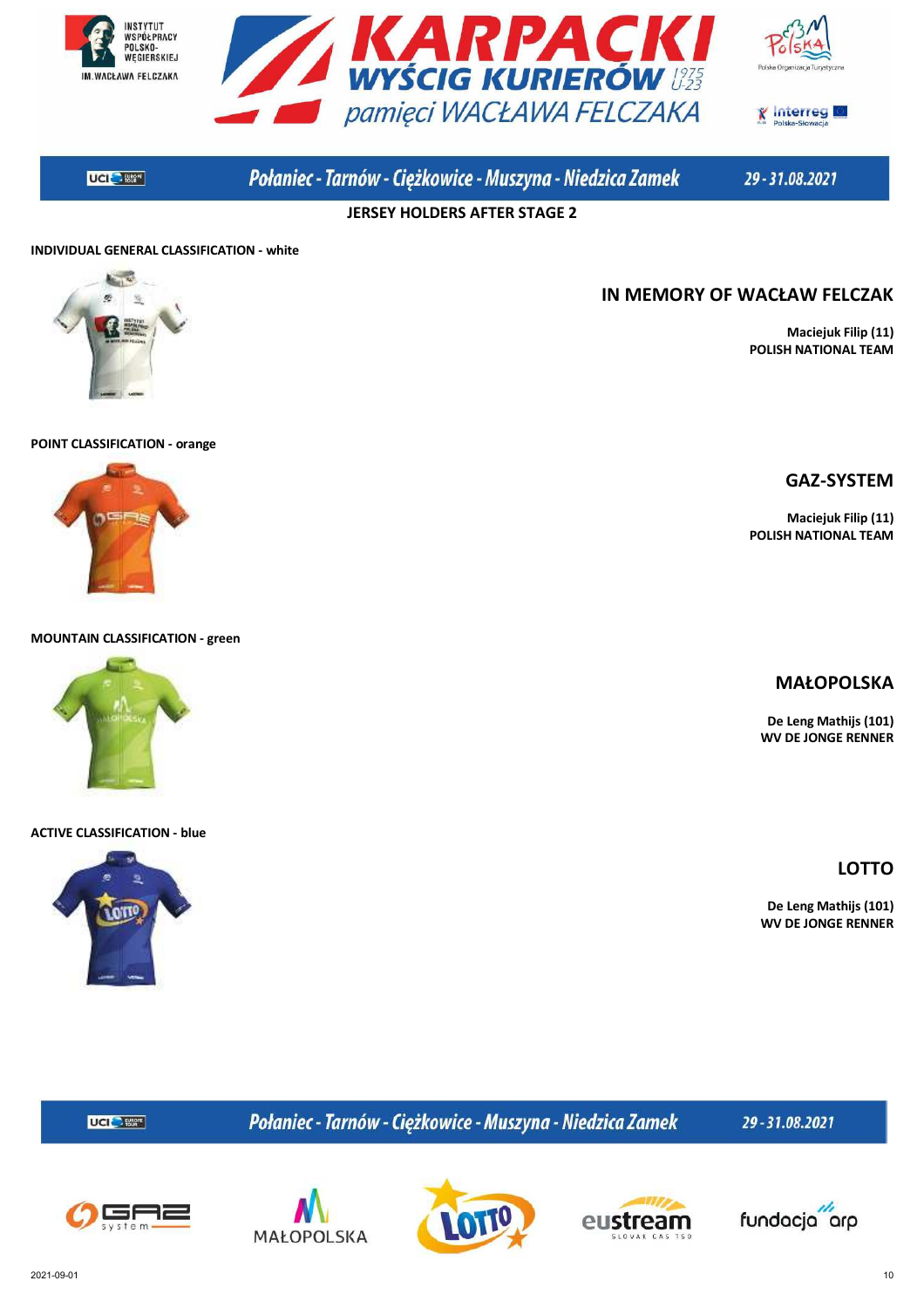![](_page_9_Picture_0.jpeg)

![](_page_9_Picture_1.jpeg)

![](_page_9_Picture_2.jpeg)

**UCIC** - 1862<sup>F</sup>

# Połaniec - Tarnów - Ciężkowice - Muszyna - Niedzica Zamek

29-31.08.2021

**JERSEY HOLDERS AFTER STAGE 2**

### **INDIVIDUAL GENERAL CLASSIFICATION - white**

![](_page_9_Picture_8.jpeg)

# **IN MEMORY OF WACŁAW FELCZAK**

**Maciejuk Filip (11) POLISH NATIONAL TEAM**

#### **POINT CLASSIFICATION - orange**

![](_page_9_Picture_12.jpeg)

#### **MOUNTAIN CLASSIFICATION - green**

![](_page_9_Picture_14.jpeg)

#### **ACTIVE CLASSIFICATION - blue**

![](_page_9_Picture_16.jpeg)

### **GAZ-SYSTEM**

**Maciejuk Filip (11) POLISH NATIONAL TEAM**

### **MAŁOPOLSKA**

**De Leng Mathijs (101) WV DE JONGE RENNER**

**LOTTO**

**De Leng Mathijs (101) WV DE JONGE RENNER**

Połaniec - Tarnów - Ciężkowice - Muszyna - Niedzica Zamek

29-31.08.2021

![](_page_9_Picture_25.jpeg)

UCI<sup>C</sup>- Etter

![](_page_9_Picture_26.jpeg)

![](_page_9_Picture_27.jpeg)

![](_page_9_Picture_28.jpeg)

![](_page_9_Picture_29.jpeg)

2021-09-01 10